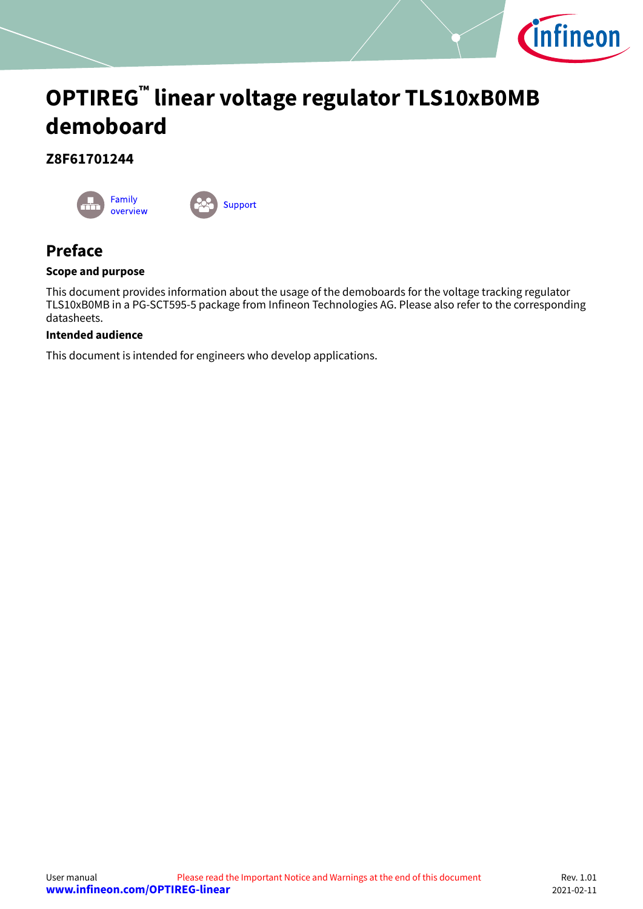

# <span id="page-0-0"></span>**OPTIREG™ linear voltage regulator TLS10xB0MB demoboard**

### **Z8F61701244**





## **Preface**

#### **Scope and purpose**

This document provides information about the usage of the demoboards for the voltage tracking regulator TLS10xB0MB in a PG-SCT595-5 package from Infineon Technologies AG. Please also refer to the corresponding datasheets.

#### **Intended audience**

This document is intended for engineers who develop applications.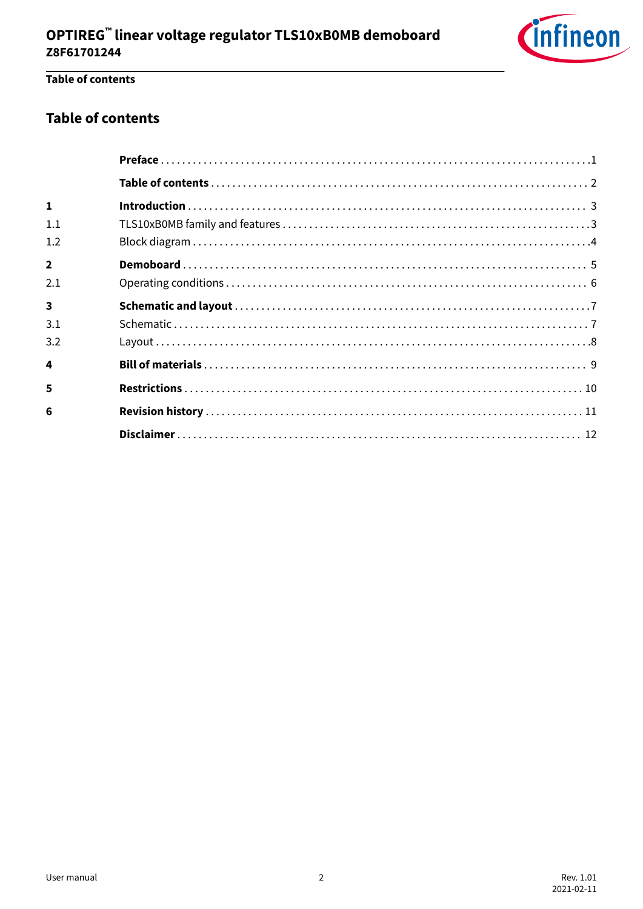

### Table of contents

### **Table of contents**

| $\mathbf{1}$            |  |
|-------------------------|--|
| 1.1                     |  |
| 1.2                     |  |
| $\overline{2}$          |  |
| 2.1                     |  |
| $\overline{\mathbf{3}}$ |  |
|                         |  |
| 3.1                     |  |
| 3.2                     |  |
| 4                       |  |
| 5                       |  |
| 6                       |  |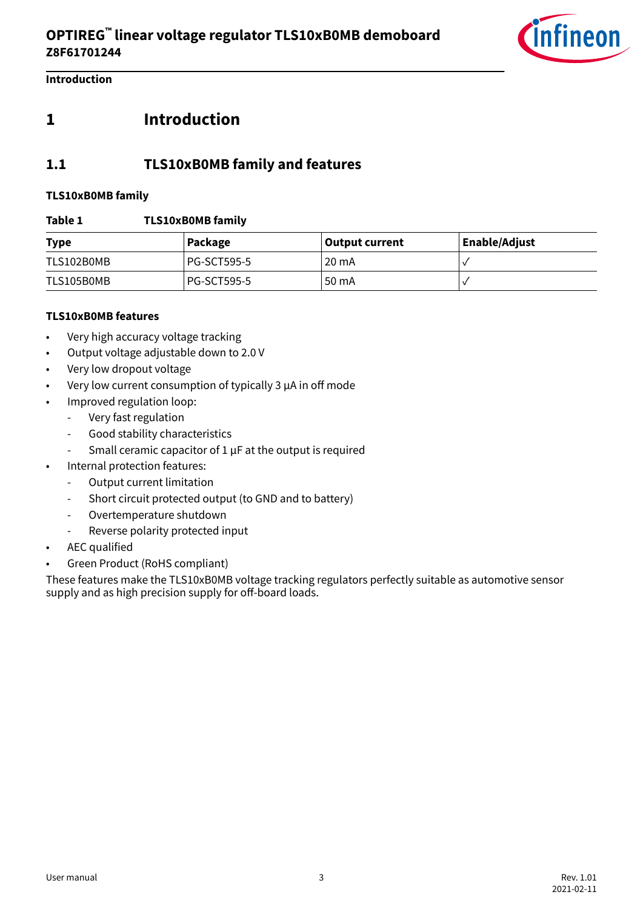

<span id="page-2-0"></span>**Introduction**

### **1 Introduction**

### **1.1 TLS10xB0MB family and features**

#### **TLS10xB0MB family**

#### **Table 1 TLS10xB0MB family**

| <b>Type</b> | Package            | <b>Output current</b> | <b>Enable/Adjust</b> |
|-------------|--------------------|-----------------------|----------------------|
| TLS102B0MB  | <b>PG-SCT595-5</b> | 20 mA                 |                      |
| TLS105B0MB  | <b>PG-SCT595-5</b> | 50 mA                 |                      |

#### **TLS10xB0MB features**

- Very high accuracy voltage tracking
- Output voltage adjustable down to 2.0 V
- Very low dropout voltage
- Very low current consumption of typically 3 µA in off mode
- Improved regulation loop:
	- Very fast regulation
	- Good stability characteristics
	- Small ceramic capacitor of 1 μF at the output is required
- Internal protection features:
	- Output current limitation
	- Short circuit protected output (to GND and to battery)
	- Overtemperature shutdown
	- Reverse polarity protected input
- AEC qualified
- Green Product (RoHS compliant)

These features make the TLS10xB0MB voltage tracking regulators perfectly suitable as automotive sensor supply and as high precision supply for off-board loads.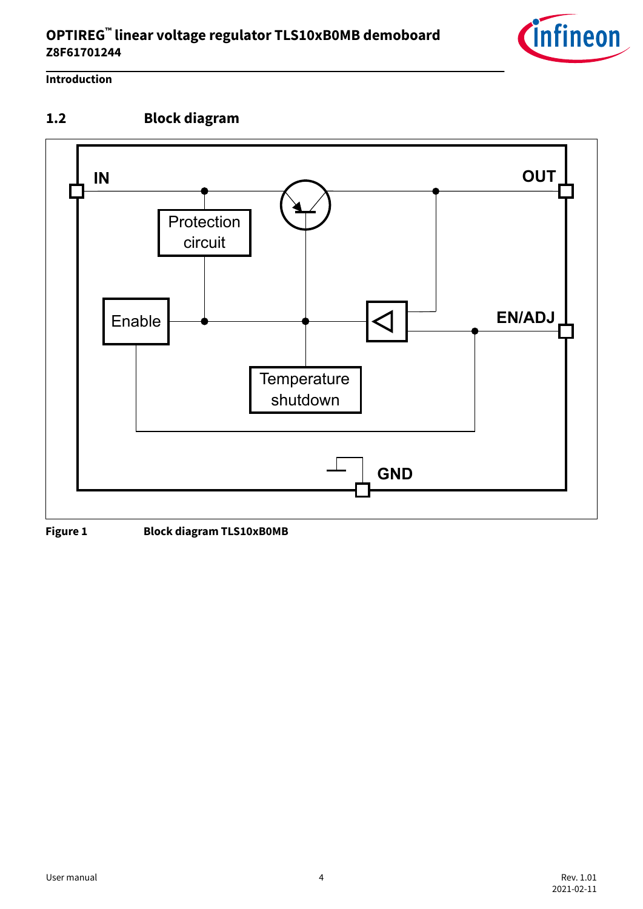### <span id="page-3-0"></span>**OPTIREG™ linear voltage regulator TLS10xB0MB demoboard Z8F61701244**



### **Introduction**

## **1.2 Block diagram**



**Figure 1 Block diagram TLS10xB0MB**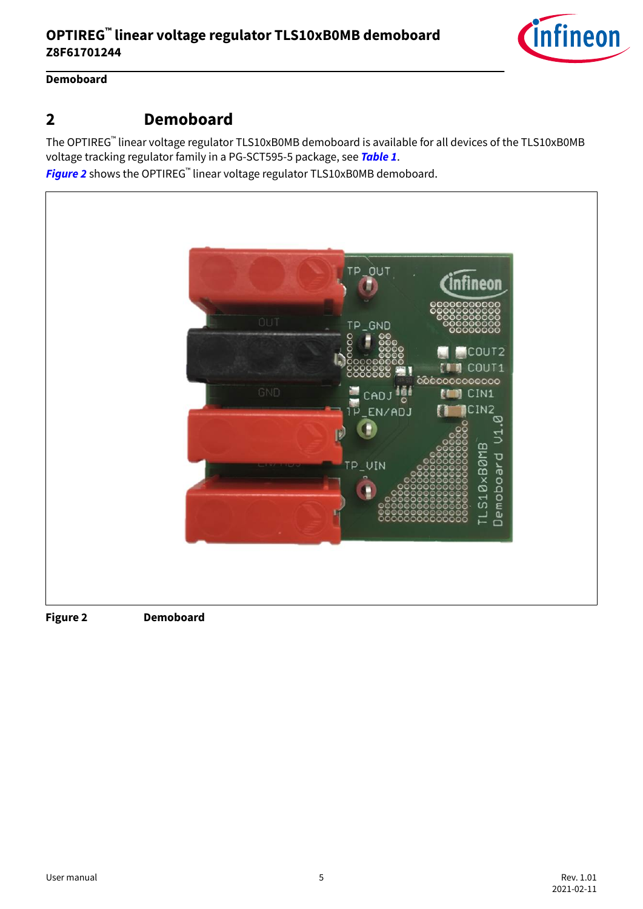

### <span id="page-4-0"></span>**Demoboard**

### **2 Demoboard**

The OPTIREG™ linear voltage regulator TLS10xB0MB demoboard is available for all devices of the TLS10xB0MB voltage tracking regulator family in a PG-SCT595-5 package, see **[Table 1](#page-2-0)**.

**Figure 2** shows the OPTIREG™ linear voltage regulator TLS10xB0MB demoboard.

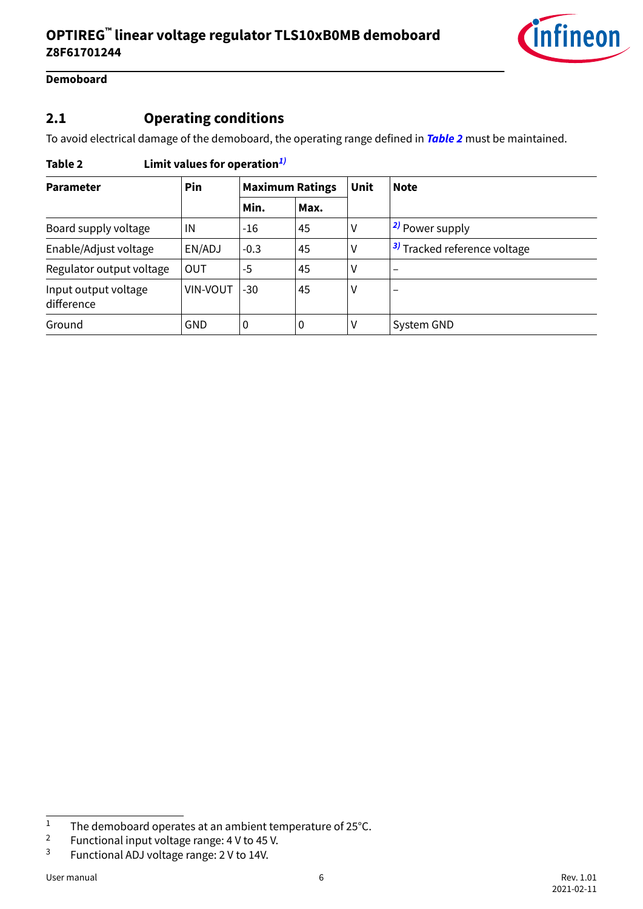

#### <span id="page-5-0"></span>**Demoboard**

### **2.1 Operating conditions**

To avoid electrical damage of the demoboard, the operating range defined in **Table 2** must be maintained.

| <b>Parameter</b>                   | Pin             | <b>Maximum Ratings</b> |      | Unit | <b>Note</b>                             |
|------------------------------------|-----------------|------------------------|------|------|-----------------------------------------|
|                                    |                 | Min.                   | Max. |      |                                         |
| Board supply voltage               | IN              | -16                    | 45   | ٧    | <sup>2</sup> Power supply               |
| Enable/Adjust voltage              | EN/ADJ          | $-0.3$                 | 45   | ۷    | <sup>3)</sup> Tracked reference voltage |
| Regulator output voltage           | <b>OUT</b>      | -5                     | 45   | ٧    |                                         |
| Input output voltage<br>difference | <b>VIN-VOUT</b> | $-30$                  | 45   | ٧    | $\overline{\phantom{m}}$                |
| Ground                             | <b>GND</b>      | 0                      | 0    | ٧    | System GND                              |

### **Table 2 Limit values for operation1)**

The demoboard operates at an ambient temperature of 25°C.<br>
Functional input voltage range: 4 V to 45 V

<sup>&</sup>lt;sup>2</sup> Functional input voltage range:  $4 \text{ V}$  to  $45 \text{ V}$ .<br><sup>3</sup> Eunctional AD Lyoltage range:  $2 \text{ V}$  to  $14 \text{ V}$ 

Functional ADJ voltage range: 2 V to 14V.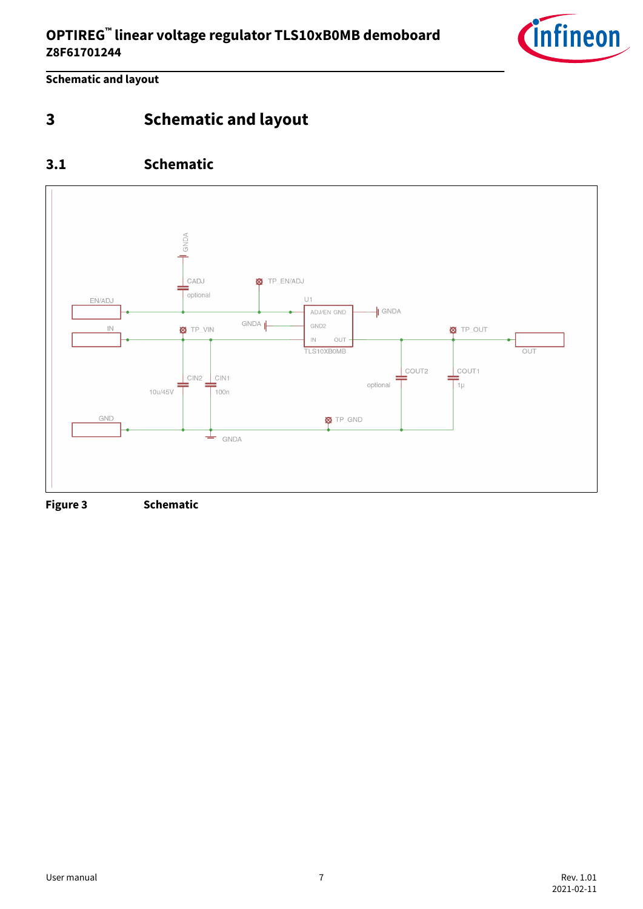

<span id="page-6-0"></span>**Schematic and layout**

**3 Schematic and layout**

### **3.1 Schematic**

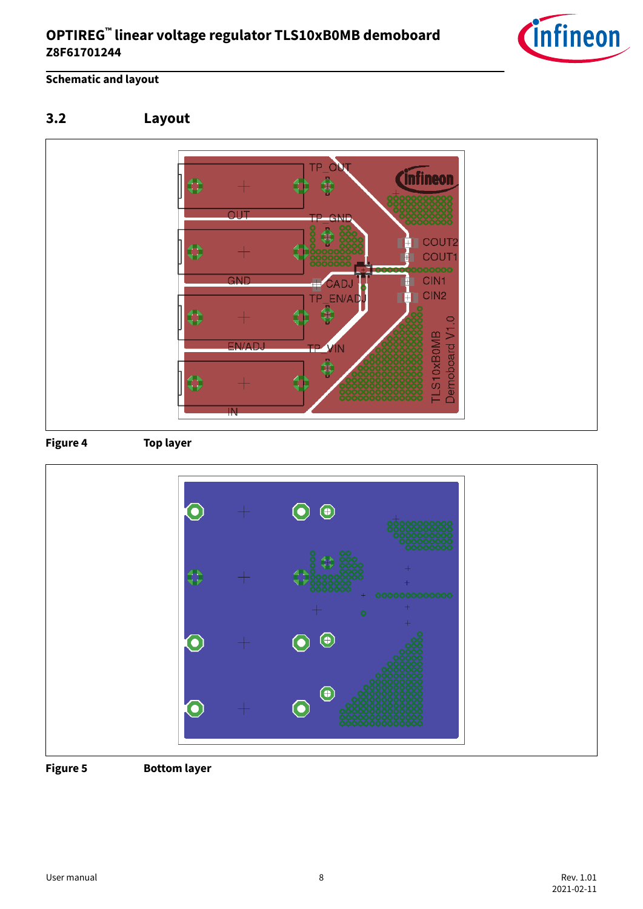

### <span id="page-7-0"></span>**Schematic and layout**









**Figure 5 Bottom layer**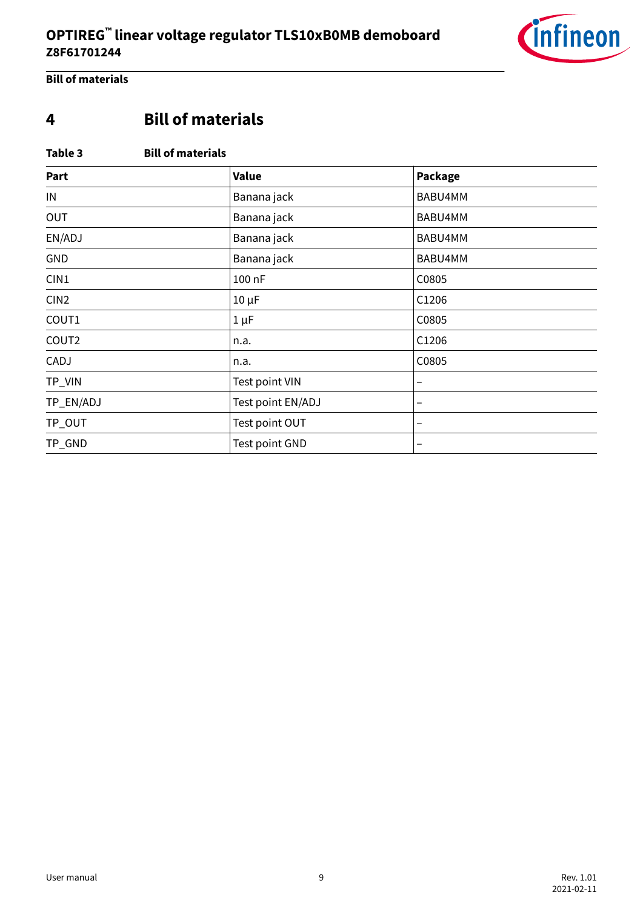

<span id="page-8-0"></span>**Bill of materials**

## **4 Bill of materials**

#### **Table 3 Bill of materials**

| Part             | Value             | Package |
|------------------|-------------------|---------|
| IN               | Banana jack       | BABU4MM |
| OUT              | Banana jack       | BABU4MM |
| EN/ADJ           | Banana jack       | BABU4MM |
| GND              | Banana jack       | BABU4MM |
| CIN1             | 100 nF            | C0805   |
| CIN <sub>2</sub> | $10 \mu F$        | C1206   |
| COUT1            | $1 \mu F$         | C0805   |
| COUT2            | n.a.              | C1206   |
| CADJ             | n.a.              | C0805   |
| TP_VIN           | Test point VIN    | -       |
| TP_EN/ADJ        | Test point EN/ADJ | -       |
| TP_OUT           | Test point OUT    | -       |
| TP_GND           | Test point GND    | -       |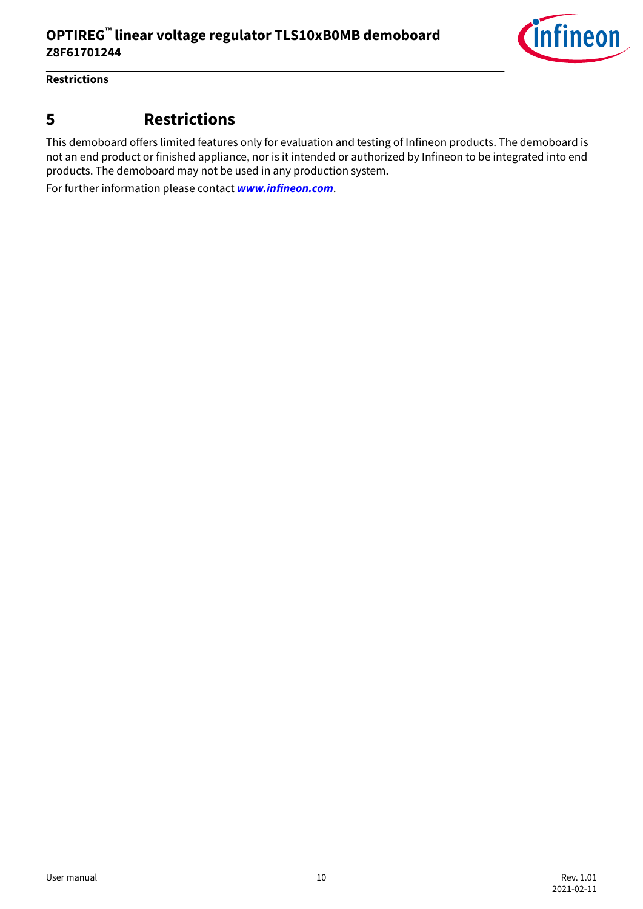

#### <span id="page-9-0"></span>**Restrictions**

### **5 Restrictions**

This demoboard offers limited features only for evaluation and testing of Infineon products. The demoboard is not an end product or finished appliance, nor is it intended or authorized by Infineon to be integrated into end products. The demoboard may not be used in any production system.

For further information please contact **[www.infineon.com](https://www.infineon.com/)**.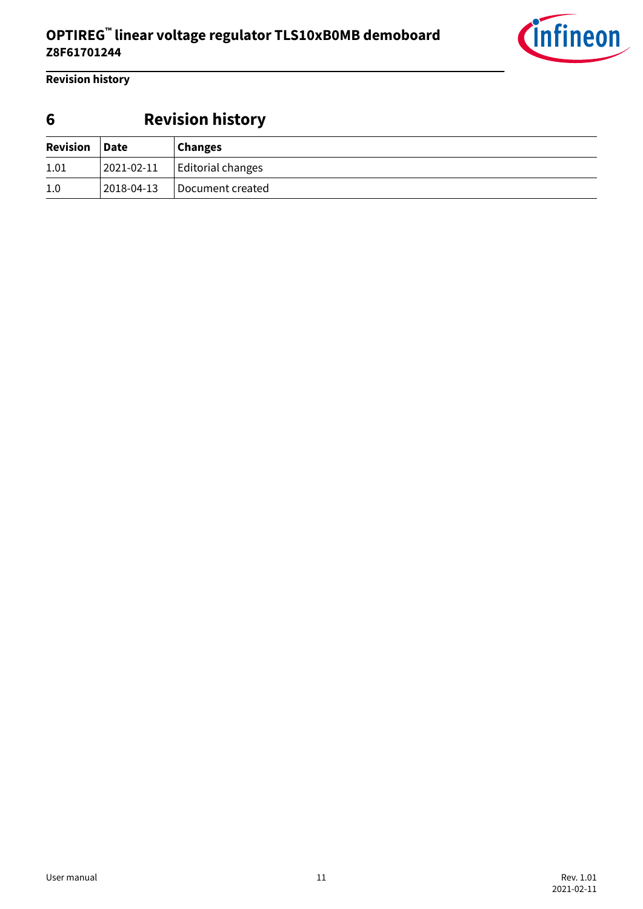

<span id="page-10-0"></span>**Revision history**

## **6 Revision history**

| Revision Date |            | <b>Changes</b>            |
|---------------|------------|---------------------------|
| 1.01          | 2021-02-11 | $\vert$ Editorial changes |
| 1.0           | 2018-04-13 | Document created          |